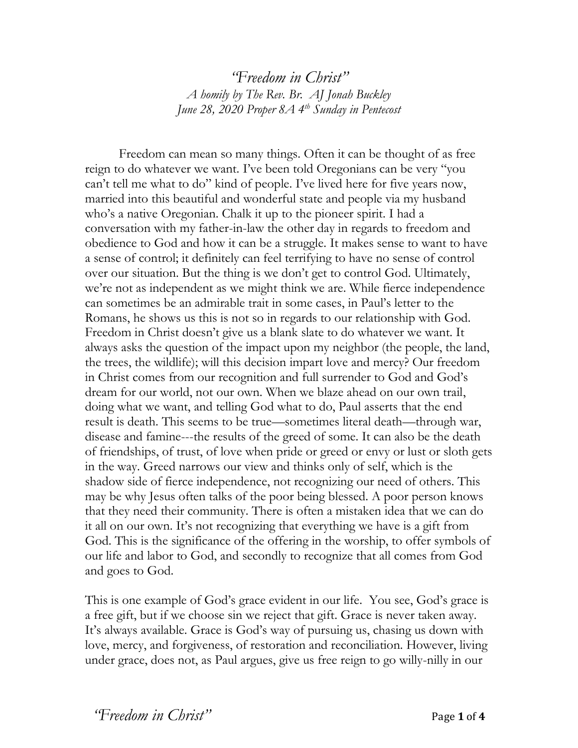*"Freedom in Christ" A homily by The Rev. Br. AJ Jonah Buckley June 28, 2020 Proper 8A 4 th Sunday in Pentecost*

Freedom can mean so many things. Often it can be thought of as free reign to do whatever we want. I've been told Oregonians can be very "you can't tell me what to do" kind of people. I've lived here for five years now, married into this beautiful and wonderful state and people via my husband who's a native Oregonian. Chalk it up to the pioneer spirit. I had a conversation with my father-in-law the other day in regards to freedom and obedience to God and how it can be a struggle. It makes sense to want to have a sense of control; it definitely can feel terrifying to have no sense of control over our situation. But the thing is we don't get to control God. Ultimately, we're not as independent as we might think we are. While fierce independence can sometimes be an admirable trait in some cases, in Paul's letter to the Romans, he shows us this is not so in regards to our relationship with God. Freedom in Christ doesn't give us a blank slate to do whatever we want. It always asks the question of the impact upon my neighbor (the people, the land, the trees, the wildlife); will this decision impart love and mercy? Our freedom in Christ comes from our recognition and full surrender to God and God's dream for our world, not our own. When we blaze ahead on our own trail, doing what we want, and telling God what to do, Paul asserts that the end result is death. This seems to be true—sometimes literal death—through war, disease and famine---the results of the greed of some. It can also be the death of friendships, of trust, of love when pride or greed or envy or lust or sloth gets in the way. Greed narrows our view and thinks only of self, which is the shadow side of fierce independence, not recognizing our need of others. This may be why Jesus often talks of the poor being blessed. A poor person knows that they need their community. There is often a mistaken idea that we can do it all on our own. It's not recognizing that everything we have is a gift from God. This is the significance of the offering in the worship, to offer symbols of our life and labor to God, and secondly to recognize that all comes from God and goes to God.

This is one example of God's grace evident in our life. You see, God's grace is a free gift, but if we choose sin we reject that gift. Grace is never taken away. It's always available. Grace is God's way of pursuing us, chasing us down with love, mercy, and forgiveness, of restoration and reconciliation. However, living under grace, does not, as Paul argues, give us free reign to go willy-nilly in our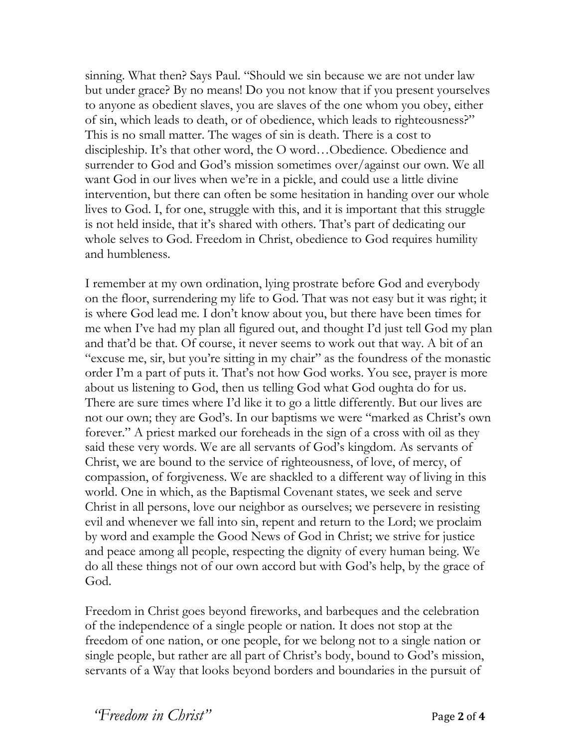sinning. What then? Says Paul. "Should we sin because we are not under law but under grace? By no means! Do you not know that if you present yourselves to anyone as obedient slaves, you are slaves of the one whom you obey, either of sin, which leads to death, or of obedience, which leads to righteousness?" This is no small matter. The wages of sin is death. There is a cost to discipleship. It's that other word, the O word…Obedience. Obedience and surrender to God and God's mission sometimes over/against our own. We all want God in our lives when we're in a pickle, and could use a little divine intervention, but there can often be some hesitation in handing over our whole lives to God. I, for one, struggle with this, and it is important that this struggle is not held inside, that it's shared with others. That's part of dedicating our whole selves to God. Freedom in Christ, obedience to God requires humility and humbleness.

I remember at my own ordination, lying prostrate before God and everybody on the floor, surrendering my life to God. That was not easy but it was right; it is where God lead me. I don't know about you, but there have been times for me when I've had my plan all figured out, and thought I'd just tell God my plan and that'd be that. Of course, it never seems to work out that way. A bit of an "excuse me, sir, but you're sitting in my chair" as the foundress of the monastic order I'm a part of puts it. That's not how God works. You see, prayer is more about us listening to God, then us telling God what God oughta do for us. There are sure times where I'd like it to go a little differently. But our lives are not our own; they are God's. In our baptisms we were "marked as Christ's own forever." A priest marked our foreheads in the sign of a cross with oil as they said these very words. We are all servants of God's kingdom. As servants of Christ, we are bound to the service of righteousness, of love, of mercy, of compassion, of forgiveness. We are shackled to a different way of living in this world. One in which, as the Baptismal Covenant states, we seek and serve Christ in all persons, love our neighbor as ourselves; we persevere in resisting evil and whenever we fall into sin, repent and return to the Lord; we proclaim by word and example the Good News of God in Christ; we strive for justice and peace among all people, respecting the dignity of every human being. We do all these things not of our own accord but with God's help, by the grace of God.

Freedom in Christ goes beyond fireworks, and barbeques and the celebration of the independence of a single people or nation. It does not stop at the freedom of one nation, or one people, for we belong not to a single nation or single people, but rather are all part of Christ's body, bound to God's mission, servants of a Way that looks beyond borders and boundaries in the pursuit of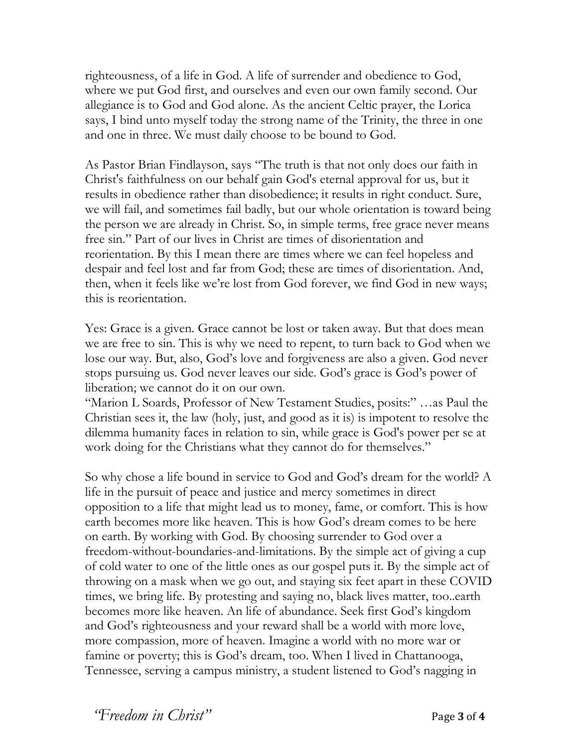righteousness, of a life in God. A life of surrender and obedience to God, where we put God first, and ourselves and even our own family second. Our allegiance is to God and God alone. As the ancient Celtic prayer, the Lorica says, I bind unto myself today the strong name of the Trinity, the three in one and one in three. We must daily choose to be bound to God.

As Pastor Brian Findlayson, says "The truth is that not only does our faith in Christ's faithfulness on our behalf gain God's eternal approval for us, but it results in obedience rather than disobedience; it results in right conduct. Sure, we will fail, and sometimes fail badly, but our whole orientation is toward being the person we are already in Christ. So, in simple terms, free grace never means free sin." Part of our lives in Christ are times of disorientation and reorientation. By this I mean there are times where we can feel hopeless and despair and feel lost and far from God; these are times of disorientation. And, then, when it feels like we're lost from God forever, we find God in new ways; this is reorientation.

Yes: Grace is a given. Grace cannot be lost or taken away. But that does mean we are free to sin. This is why we need to repent, to turn back to God when we lose our way. But, also, God's love and forgiveness are also a given. God never stops pursuing us. God never leaves our side. God's grace is God's power of liberation; we cannot do it on our own.

"Marion L Soards, Professor of New Testament Studies, posits:" …as Paul the Christian sees it, the law (holy, just, and good as it is) is impotent to resolve the dilemma humanity faces in relation to sin, while grace is God's power per se at work doing for the Christians what they cannot do for themselves."

So why chose a life bound in service to God and God's dream for the world? A life in the pursuit of peace and justice and mercy sometimes in direct opposition to a life that might lead us to money, fame, or comfort. This is how earth becomes more like heaven. This is how God's dream comes to be here on earth. By working with God. By choosing surrender to God over a freedom-without-boundaries-and-limitations. By the simple act of giving a cup of cold water to one of the little ones as our gospel puts it. By the simple act of throwing on a mask when we go out, and staying six feet apart in these COVID times, we bring life. By protesting and saying no, black lives matter, too..earth becomes more like heaven. An life of abundance. Seek first God's kingdom and God's righteousness and your reward shall be a world with more love, more compassion, more of heaven. Imagine a world with no more war or famine or poverty; this is God's dream, too. When I lived in Chattanooga, Tennessee, serving a campus ministry, a student listened to God's nagging in